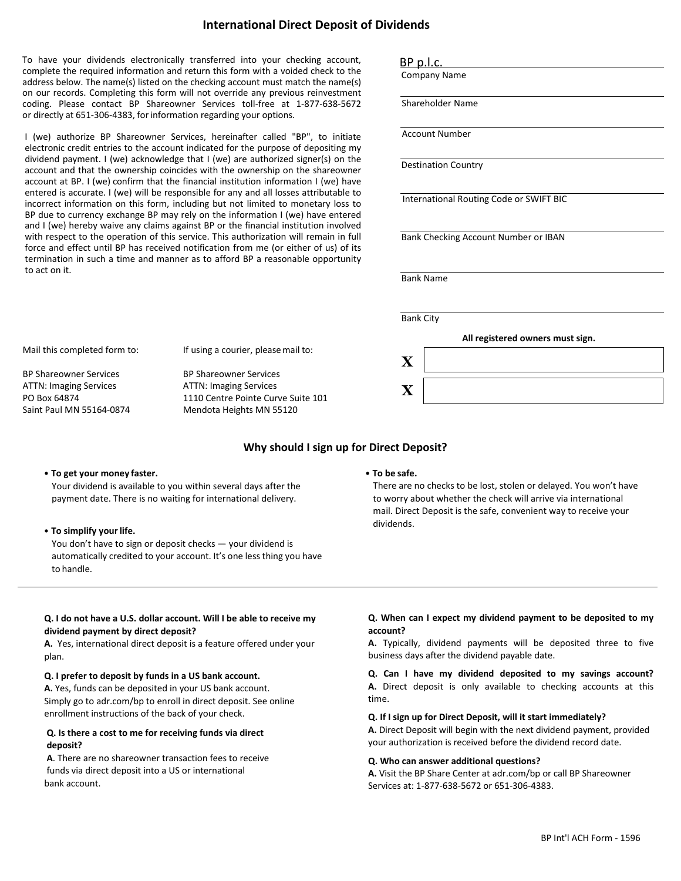## **International Direct Deposit of Dividends**

To have your dividends electronically transferred into your checking account, complete the required information and return this form with a voided check to the address below. The name(s) listed on the checking account must match the name(s) on our records. Completing this form will not override any previous reinvestment coding. Please contact BP Shareowner Services toll-free at 1-877-638-5672 or directly at 651-306-4383, forinformation regarding your options.

I (we) authorize BP Shareowner Services, hereinafter called "BP", to initiate electronic credit entries to the account indicated for the purpose of depositing my dividend payment. I (we) acknowledge that I (we) are authorized signer(s) on the account and that the ownership coincides with the ownership on the shareowner account at BP. I (we) confirm that the financial institution information I (we) have entered is accurate. I (we) will be responsible for any and all losses attributable to incorrect information on this form, including but not limited to monetary loss to BP due to currency exchange BP may rely on the information I (we) have entered and I (we) hereby waive any claims against BP or the financial institution involved with respect to the operation of this service. This authorization will remain in full force and effect until BP has received notification from me (or either of us) of its termination in such a time and manner as to afford BP a reasonable opportunity to act on it.

| <b>BP</b> p.l.c. |                                         |  |
|------------------|-----------------------------------------|--|
|                  | <b>Company Name</b>                     |  |
|                  |                                         |  |
|                  | Shareholder Name                        |  |
|                  |                                         |  |
|                  | <b>Account Number</b>                   |  |
|                  |                                         |  |
|                  | <b>Destination Country</b>              |  |
|                  |                                         |  |
|                  | International Routing Code or SWIFT BIC |  |
|                  |                                         |  |
|                  |                                         |  |
|                  |                                         |  |
|                  | Bank Checking Account Number or IBAN    |  |
|                  |                                         |  |
|                  |                                         |  |
|                  | <b>Bank Name</b>                        |  |
|                  |                                         |  |
|                  |                                         |  |
| <b>Bank City</b> |                                         |  |
|                  | All registered owners must sign.        |  |
|                  |                                         |  |
| $\mathbf X$      |                                         |  |

Mail this completed form to:

If using a courier, pleasemail to:

BP Shareowner Services ATTN: Imaging Services PO Box 64874 Saint Paul MN 55164-0874

BP Shareowner Services ATTN: Imaging Services 1110 Centre Pointe Curve Suite 101 Mendota Heights MN 55120

## **Why should I sign up for Direct Deposit?**

### **• To get your money faster.**

Your dividend is available to you within several days after the payment date. There is no waiting for international delivery.

### **• To simplify your life.**

You don't have to sign or deposit checks — your dividend is automatically credited to your account. It's one less thing you have to handle.

### **• To be safe.**

There are no checks to be lost, stolen or delayed. You won't have to worry about whether the check will arrive via international mail. Direct Deposit is the safe, convenient way to receive your dividends.

## **Q. I do not have a U.S. dollar account. Will I be able to receive my dividend payment by direct deposit?**

**A.** Yes, international direct deposit is a feature offered under your plan.

### **Q. I prefer to deposit by funds in a US bank account.**

**A.** Yes, funds can be deposited in your US bank account. Simply go to adr.com/bp to enroll in direct deposit. See online enrollment instructions of the back of your check.

## **Q. Is there a cost to me for receiving funds via direct deposit?**

**A**. There are no shareowner transaction fees to receive funds via direct deposit into a US or international bank account.

## **Q. When can I expect my dividend payment to be deposited to my account?**

**A.** Typically, dividend payments will be deposited three to five business days after the dividend payable date.

**Q. Can I have my dividend deposited to my savings account? A.** Direct deposit is only available to checking accounts at this time.

### **Q. If I sign up for Direct Deposit, will it start immediately?**

**A.** Direct Deposit will begin with the next dividend payment, provided your authorization is received before the dividend record date.

#### **Q. Who can answer additional questions?**

**A.** Visit the BP Share Center at adr.com/bp or call BP Shareowner Services at: 1-877-638-5672 or 651-306-4383.